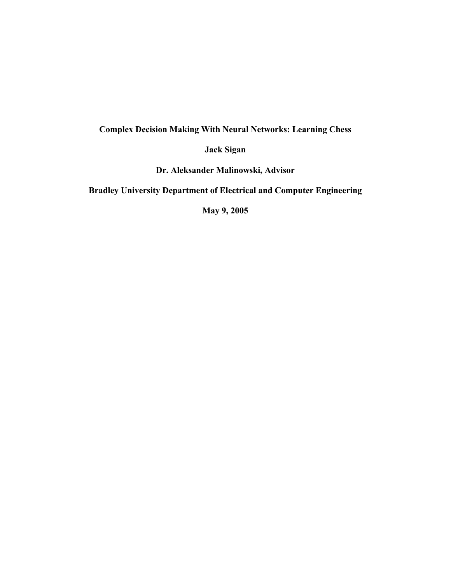## **Complex Decision Making With Neural Networks: Learning Chess**

**Jack Sigan**

**Dr. Aleksander Malinowski, Advisor**

**Bradley University Department of Electrical and Computer Engineering**

**May 9, 2005**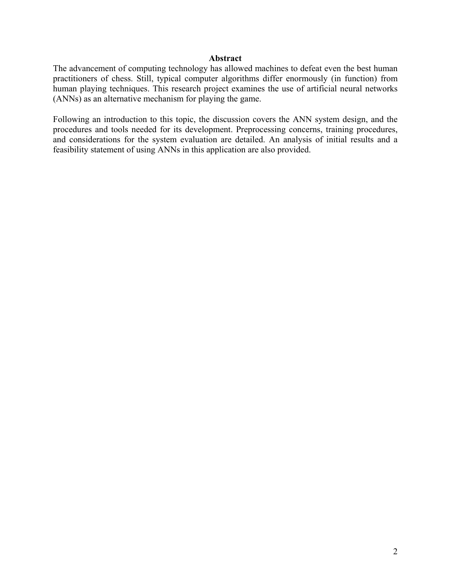## **Abstract**

The advancement of computing technology has allowed machines to defeat even the best human practitioners of chess. Still, typical computer algorithms differ enormously (in function) from human playing techniques. This research project examines the use of artificial neural networks (ANNs) as an alternative mechanism for playing the game.

Following an introduction to this topic, the discussion covers the ANN system design, and the procedures and tools needed for its development. Preprocessing concerns, training procedures, and considerations for the system evaluation are detailed. An analysis of initial results and a feasibility statement of using ANNs in this application are also provided.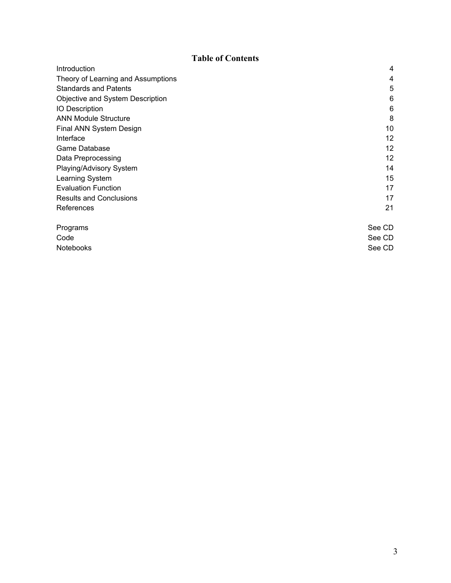# **Table of Contents**

| Introduction                       | 4      |
|------------------------------------|--------|
| Theory of Learning and Assumptions | 4      |
| <b>Standards and Patents</b>       | 5      |
| Objective and System Description   | 6      |
| <b>IO Description</b>              | 6      |
| <b>ANN Module Structure</b>        | 8      |
| Final ANN System Design            | 10     |
| Interface                          | 12     |
| Game Database                      | 12     |
| Data Preprocessing                 | 12     |
| Playing/Advisory System            | 14     |
| Learning System                    | 15     |
| <b>Evaluation Function</b>         | 17     |
| <b>Results and Conclusions</b>     | 17     |
| References                         | 21     |
| Programs                           | See CD |
| Code                               | See CD |
| Notebooks                          | See CD |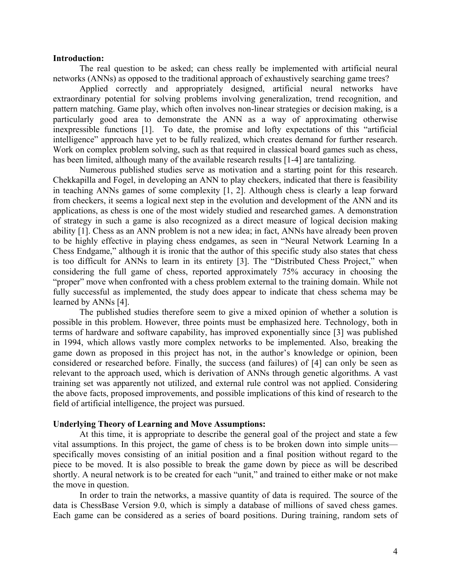### **Introduction:**

The real question to be asked; can chess really be implemented with artificial neural networks (ANNs) as opposed to the traditional approach of exhaustively searching game trees?

Applied correctly and appropriately designed, artificial neural networks have extraordinary potential for solving problems involving generalization, trend recognition, and pattern matching. Game play, which often involves non-linear strategies or decision making, is a particularly good area to demonstrate the ANN as a way of approximating otherwise inexpressible functions [1]. To date, the promise and lofty expectations of this "artificial intelligence" approach have yet to be fully realized, which creates demand for further research. Work on complex problem solving, such as that required in classical board games such as chess, has been limited, although many of the available research results [1-4] are tantalizing*.*

Numerous published studies serve as motivation and a starting point for this research. Chekkapilla and Fogel, in developing an ANN to play checkers, indicated that there is feasibility in teaching ANNs games of some complexity [1, 2]. Although chess is clearly a leap forward from checkers, it seems a logical next step in the evolution and development of the ANN and its applications, as chess is one of the most widely studied and researched games. A demonstration of strategy in such a game is also recognized as a direct measure of logical decision making ability [1]. Chess as an ANN problem is not a new idea; in fact, ANNs have already been proven to be highly effective in playing chess endgames, as seen in "Neural Network Learning In a Chess Endgame," although it is ironic that the author of this specific study also states that chess is too difficult for ANNs to learn in its entirety [3]. The "Distributed Chess Project," when considering the full game of chess, reported approximately 75% accuracy in choosing the "proper" move when confronted with a chess problem external to the training domain. While not fully successful as implemented, the study does appear to indicate that chess schema may be learned by ANNs [4].

The published studies therefore seem to give a mixed opinion of whether a solution is possible in this problem. However, three points must be emphasized here. Technology, both in terms of hardware and software capability, has improved exponentially since [3] was published in 1994, which allows vastly more complex networks to be implemented. Also, breaking the game down as proposed in this project has not, in the author's knowledge or opinion, been considered or researched before. Finally, the success (and failures) of [4] can only be seen as relevant to the approach used, which is derivation of ANNs through genetic algorithms. A vast training set was apparently not utilized, and external rule control was not applied. Considering the above facts, proposed improvements, and possible implications of this kind of research to the field of artificial intelligence, the project was pursued.

#### **Underlying Theory of Learning and Move Assumptions:**

At this time, it is appropriate to describe the general goal of the project and state a few vital assumptions. In this project, the game of chess is to be broken down into simple units specifically moves consisting of an initial position and a final position without regard to the piece to be moved. It is also possible to break the game down by piece as will be described shortly. A neural network is to be created for each "unit," and trained to either make or not make the move in question.

In order to train the networks, a massive quantity of data is required. The source of the data is ChessBase Version 9.0, which is simply a database of millions of saved chess games. Each game can be considered as a series of board positions. During training, random sets of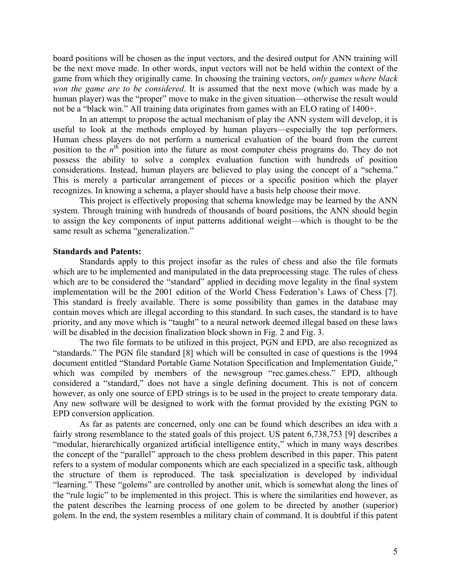board positions will be chosen as the input vectors, and the desired output for ANN training will be the next move made. In other words, input vectors will not be held within the context of the game from which they originally came. In choosing the training vectors, *only games where black won the game are to be considered*. It is assumed that the next move (which was made by a human player) was the "proper" move to make in the given situation—otherwise the result would not be a "black win." All training data originates from games with an ELO rating of 1400+.

In an attempt to propose the actual mechanism of play the ANN system will develop, it is useful to look at the methods employed by human players—especially the top performers. Human chess players do not perform a numerical evaluation of the board from the current position to the  $n<sup>th</sup>$  position into the future as most computer chess programs do. They do not possess the ability to solve a complex evaluation function with hundreds of position considerations. Instead, human players are believed to play using the concept of a "schema." This is merely a particular arrangement of pieces or a specific position which the player recognizes. In knowing a schema, a player should have a basis help choose their move.

This project is effectively proposing that schema knowledge may be learned by the ANN system. Through training with hundreds of thousands of board positions, the ANN should begin to assign the key components of input patterns additional weight—which is thought to be the same result as schema "generalization."

## **Standards and Patents:**

Standards apply to this project insofar as the rules of chess and also the file formats which are to be implemented and manipulated in the data preprocessing stage. The rules of chess which are to be considered the "standard" applied in deciding move legality in the final system implementation will be the 2001 edition of the World Chess Federation's Laws of Chess [7]. This standard is freely available. There is some possibility than games in the database may contain moves which are illegal according to this standard. In such cases, the standard is to have priority, and any move which is "taught" to a neural network deemed illegal based on these laws will be disabled in the decision finalization block shown in Fig. 2 and Fig. 3.

The two file formats to be utilized in this project, PGN and EPD, are also recognized as "standards." The PGN file standard [8] which will be consulted in case of questions is the 1994 document entitled "Standard Portable Game Notation Specification and Implementation Guide," which was compiled by members of the newsgroup "rec.games.chess." EPD, although considered a "standard," does not have a single defining document. This is not of concern however, as only one source of EPD strings is to be used in the project to create temporary data. Any new software will be designed to work with the format provided by the existing PGN to EPD conversion application.

As far as patents are concerned, only one can be found which describes an idea with a fairly strong resemblance to the stated goals of this project. US patent 6,738,753 [9] describes a "modular, hierarchically organized artificial intelligence entity," which in many ways describes the concept of the "parallel" approach to the chess problem described in this paper. This patent refers to a system of modular components which are each specialized in a specific task, although the structure of them is reproduced. The task specialization is developed by individual "learning." These "golems" are controlled by another unit, which is somewhat along the lines of the "rule logic" to be implemented in this project. This is where the similarities end however, as the patent describes the learning process of one golem to be directed by another (superior) golem. In the end, the system resembles a military chain of command. It is doubtful if this patent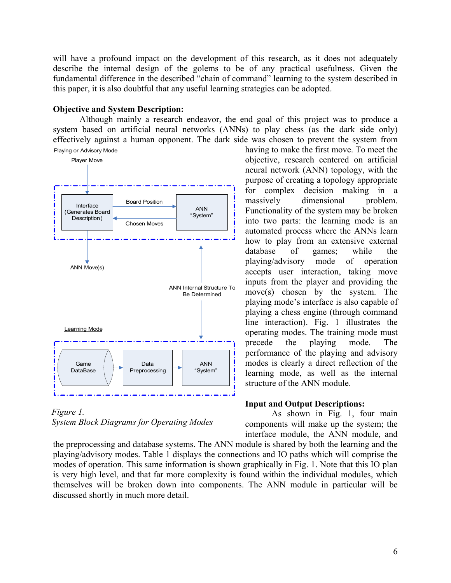will have a profound impact on the development of this research, as it does not adequately describe the internal design of the golems to be of any practical usefulness. Given the fundamental difference in the described "chain of command" learning to the system described in this paper, it is also doubtful that any useful learning strategies can be adopted.

## **Objective and System Description:**

Although mainly a research endeavor, the end goal of this project was to produce a system based on artificial neural networks (ANNs) to play chess (as the dark side only) effectively against a human opponent. The dark side was chosen to prevent the system from





having to make the first move. To meet the objective, research centered on artificial neural network (ANN) topology, with the purpose of creating a topology appropriate for complex decision making in a massively dimensional problem. Functionality of the system may be broken into two parts: the learning mode is an automated process where the ANNs learn how to play from an extensive external database of games; while the playing/advisory mode of operation accepts user interaction, taking move inputs from the player and providing the move(s) chosen by the system. The playing mode's interface is also capable of playing a chess engine (through command line interaction). Fig. 1 illustrates the operating modes. The training mode must precede the playing mode. The performance of the playing and advisory modes is clearly a direct reflection of the learning mode, as well as the internal structure of the ANN module.

## **Input and Output Descriptions:**

As shown in Fig. 1, four main components will make up the system; the interface module, the ANN module, and

the preprocessing and database systems. The ANN module is shared by both the learning and the playing/advisory modes. Table 1 displays the connections and IO paths which will comprise the modes of operation. This same information is shown graphically in Fig. 1. Note that this IO plan is very high level, and that far more complexity is found within the individual modules, which themselves will be broken down into components. The ANN module in particular will be discussed shortly in much more detail.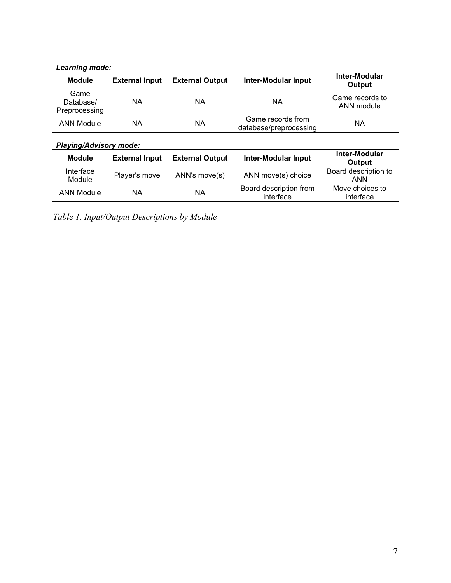## *Learning mode:*

| <b>Module</b>                      | <b>External Input</b> | <b>External Output</b> | <b>Inter-Modular Input</b>                  | Inter-Modular<br><b>Output</b> |
|------------------------------------|-----------------------|------------------------|---------------------------------------------|--------------------------------|
| Game<br>Database/<br>Preprocessing | ΝA                    | ΝA                     | ΝA                                          | Game records to<br>ANN module  |
| <b>ANN Module</b>                  | ΝA                    | ΝA                     | Game records from<br>database/preprocessing | ΝA                             |

## *Playing/Advisory mode:*

| <b>Module</b>       | <b>External Input</b> | <b>External Output</b> | <b>Inter-Modular Input</b>          | Inter-Modular<br>Output            |
|---------------------|-----------------------|------------------------|-------------------------------------|------------------------------------|
| Interface<br>Module | Player's move         | ANN's move(s)          | ANN move(s) choice                  | Board description to<br><b>ANN</b> |
| <b>ANN Module</b>   | ΝA                    | ΝA                     | Board description from<br>interface | Move choices to<br>interface       |

*Table 1. Input/Output Descriptions by Module*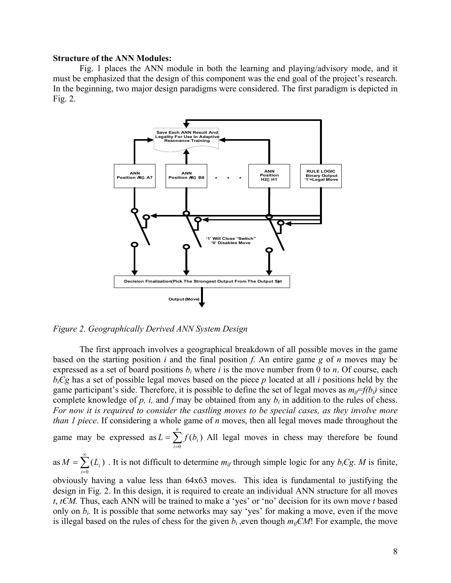### **Structure of the ANN Modules:**

Fig. 1 places the ANN module in both the learning and playing/advisory mode, and it must be emphasized that the design of this component was the end goal of the project's research. In the beginning, two major design paradigms were considered. The first paradigm is depicted in Fig. 2.



*Figure 2. Geographically Derived ANN System Design*

The first approach involves a geographical breakdown of all possible moves in the game based on the starting position *i* and the final position *f*. An entire game *g* of *n* moves may be expressed as a set of board positions  $b_i$  where *i* is the move number from 0 to *n*. Of course, each  $b_i$ *Cg* has a set of possible legal moves based on the piece *p* located at all *i* positions held by the game participant's side. Therefore, it is possible to define the set of legal moves as  $m_{if}=f(b_i)$  since complete knowledge of  $p$ ,  $i$ , and  $f$  may be obtained from any  $b_i$  in addition to the rules of chess. *For now it is required to consider the castling moves to be special cases, as they involve more than 1 piece*. If considering a whole game of *n* moves, then all legal moves made throughout the

game may be expressed as  $L = \sum_{i=0}^{n} f(b_i)$ *n i*  $L = \sum f(b_i)$ 0 All legal moves in chess may therefore be found

as  $M = \sum_{n=1}^{\infty}$ =  $=\sum_{i}(L_{i})$ 0 ( *i*  $M = \sum (L_i)$ . It is not difficult to determine  $m_{if}$  through simple logic for any  $b_i Cg$ . *M* is finite,

obviously having a value less than 64x63 moves. This idea is fundamental to justifying the design in Fig. 2. In this design, it is required to create an individual ANN structure for all moves *t*, *tЄM.* Thus, each ANN will be trained to make a 'yes' or 'no' decision for its own move *t* based only on  $b_i$ . It is possible that some networks may say 'yes' for making a move, even if the move is illegal based on the rules of chess for the given  $b_i$ , even though  $m_i \in M!$ ! For example, the move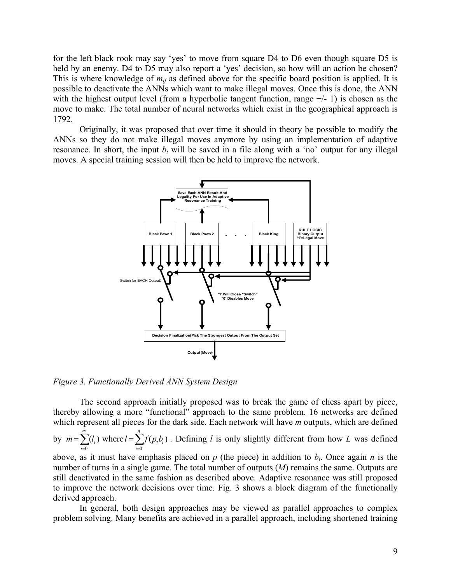for the left black rook may say 'yes' to move from square D4 to D6 even though square D5 is held by an enemy. D4 to D5 may also report a 'yes' decision, so how will an action be chosen? This is where knowledge of  $m_{if}$  as defined above for the specific board position is applied. It is possible to deactivate the ANNs which want to make illegal moves. Once this is done, the ANN with the highest output level (from a hyperbolic tangent function, range  $+/-1$ ) is chosen as the move to make. The total number of neural networks which exist in the geographical approach is 1792.

Originally, it was proposed that over time it should in theory be possible to modify the ANNs so they do not make illegal moves anymore by using an implementation of adaptive resonance. In short, the input  $b_i$  will be saved in a file along with a 'no' output for any illegal moves. A special training session will then be held to improve the network.



*Figure 3. Functionally Derived ANN System Design*

The second approach initially proposed was to break the game of chess apart by piece, thereby allowing a more "functional" approach to the same problem. 16 networks are defined which represent all pieces for the dark side. Each network will have *m* outputs, which are defined

by  $m = \sum^{\infty}$ =  $m = \sum_{i=0}^{\infty} (l_i)$  where  $l = \sum_{i=0}^{n} f(p, b_i)$ 0 *i i*  $l = \sum f(p, b_i)$ . Defining *l* is only slightly different from how *L* was defined  $\bf{0}$ 

above, as it must have emphasis placed on  $p$  (the piece) in addition to  $b_i$ . Once again  $n$  is the number of turns in a single game*.* The total number of outputs (*M*) remains the same. Outputs are still deactivated in the same fashion as described above. Adaptive resonance was still proposed to improve the network decisions over time. Fig. 3 shows a block diagram of the functionally derived approach.

In general, both design approaches may be viewed as parallel approaches to complex problem solving. Many benefits are achieved in a parallel approach, including shortened training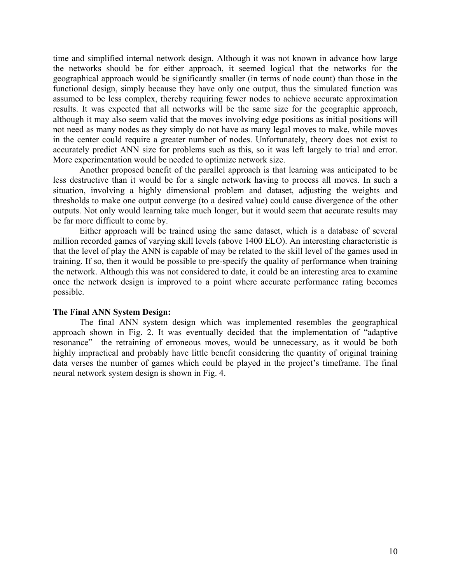time and simplified internal network design. Although it was not known in advance how large the networks should be for either approach, it seemed logical that the networks for the geographical approach would be significantly smaller (in terms of node count) than those in the functional design, simply because they have only one output, thus the simulated function was assumed to be less complex, thereby requiring fewer nodes to achieve accurate approximation results. It was expected that all networks will be the same size for the geographic approach, although it may also seem valid that the moves involving edge positions as initial positions will not need as many nodes as they simply do not have as many legal moves to make, while moves in the center could require a greater number of nodes. Unfortunately, theory does not exist to accurately predict ANN size for problems such as this, so it was left largely to trial and error. More experimentation would be needed to optimize network size.

Another proposed benefit of the parallel approach is that learning was anticipated to be less destructive than it would be for a single network having to process all moves. In such a situation, involving a highly dimensional problem and dataset, adjusting the weights and thresholds to make one output converge (to a desired value) could cause divergence of the other outputs. Not only would learning take much longer, but it would seem that accurate results may be far more difficult to come by.

Either approach will be trained using the same dataset, which is a database of several million recorded games of varying skill levels (above 1400 ELO). An interesting characteristic is that the level of play the ANN is capable of may be related to the skill level of the games used in training. If so, then it would be possible to pre-specify the quality of performance when training the network. Although this was not considered to date, it could be an interesting area to examine once the network design is improved to a point where accurate performance rating becomes possible.

## **The Final ANN System Design:**

The final ANN system design which was implemented resembles the geographical approach shown in Fig. 2. It was eventually decided that the implementation of "adaptive resonance"—the retraining of erroneous moves, would be unnecessary, as it would be both highly impractical and probably have little benefit considering the quantity of original training data verses the number of games which could be played in the project's timeframe. The final neural network system design is shown in Fig. 4.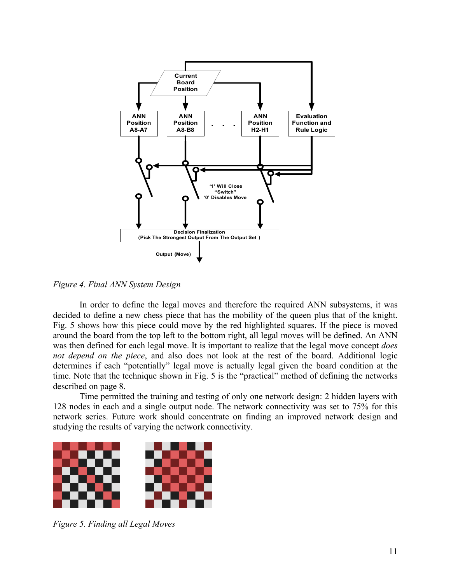

*Figure 4. Final ANN System Design*

In order to define the legal moves and therefore the required ANN subsystems, it was decided to define a new chess piece that has the mobility of the queen plus that of the knight. Fig. 5 shows how this piece could move by the red highlighted squares. If the piece is moved around the board from the top left to the bottom right, all legal moves will be defined. An ANN was then defined for each legal move. It is important to realize that the legal move concept *does not depend on the piece*, and also does not look at the rest of the board. Additional logic determines if each "potentially" legal move is actually legal given the board condition at the time. Note that the technique shown in Fig. 5 is the "practical" method of defining the networks described on page 8.

Time permitted the training and testing of only one network design: 2 hidden layers with 128 nodes in each and a single output node. The network connectivity was set to 75% for this network series. Future work should concentrate on finding an improved network design and studying the results of varying the network connectivity.



*Figure 5. Finding all Legal Moves*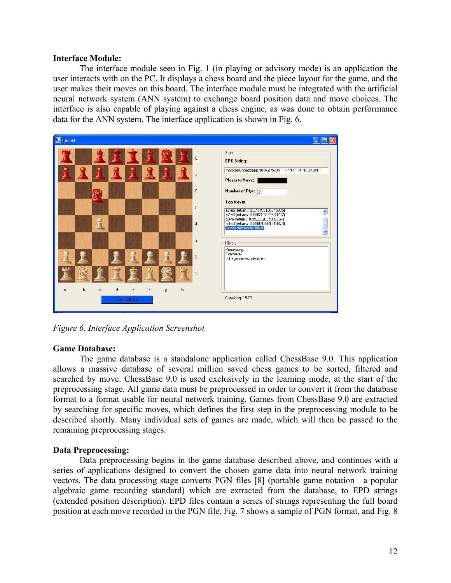## **Interface Module:**

The interface module seen in Fig. 1 (in playing or advisory mode) is an application the user interacts with on the PC. It displays a chess board and the piece layout for the game, and the user makes their moves on this board. The interface module must be integrated with the artificial neural network system (ANN system) to exchange board position data and move choices. The interface is also capable of playing against a chess engine, as was done to obtain performance data for the ANN system. The interface application is shown in Fig. 6.



*Figure 6. Interface Application Screenshot*

## **Game Database:**

The game database is a standalone application called ChessBase 9.0. This application allows a massive database of several million saved chess games to be sorted, filtered and searched by move. ChessBase 9.0 is used exclusively in the learning mode, at the start of the preprocessing stage. All game data must be preprocessed in order to convert it from the database format to a format usable for neural network training. Games from ChessBase 9.0 are extracted by searching for specific moves, which defines the first step in the preprocessing module to be described shortly. Many individual sets of games are made, which will then be passed to the remaining preprocessing stages.

## **Data Preprocessing:**

Data preprocessing begins in the game database described above, and continues with a series of applications designed to convert the chosen game data into neural network training vectors. The data processing stage converts PGN files [8] (portable game notation—a popular algebraic game recording standard) which are extracted from the database, to EPD strings (extended position description). EPD files contain a series of strings representing the full board position at each move recorded in the PGN file. Fig. 7 shows a sample of PGN format, and Fig. 8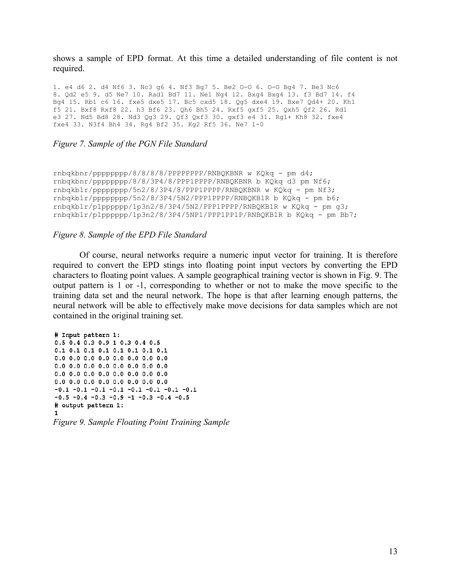shows a sample of EPD format. At this time a detailed understanding of file content is not required.

1. e4 d6 2. d4 Nf6 3. Nc3 g6 4. Nf3 Bg7 5. Be2 O-O 6. O-O Bg4 7. Be3 Nc6 8. Qd2 e5 9. d5 Ne7 10. Rad1 Bd7 11. Ne1 Ng4 12. Bxg4 Bxg4 13. f3 Bd7 14. f4 Bg4 15. Rb1 c6 16. fxe5 dxe5 17. Bc5 cxd5 18. Qg5 dxe4 19. Bxe7 Qd4+ 20. Kh1 f5 21. Bxf8 Rxf8 22. h3 Bf6 23. Qh6 Bh5 24. Rxf5 gxf5 25. Qxh5 Qf2 26. Rd1 e3 27. Nd5 Bd8 28. Nd3 Qg3 29. Qf3 Qxf3 30. gxf3 e4 31. Rg1+ Kh8 32. fxe4 fxe4 33. N3f4 Bh4 34. Rg4 Bf2 35. Kg2 Rf5 36. Ne7 1-0

#### *Figure 7. Sample of the PGN File Standard*

```
rnbqkbnr/pppppppp/8/8/8/8/PPPPPPPP/RNBQKBNR w KQkq - pm d4;
rnbqkbnr/pppppppp/8/8/3P4/8/PPP1PPPP/RNBQKBNR b KQkq d3 pm Nf6;
rnbqkb1r/pppppppp/5n2/8/3P4/8/PPP1PPPP/RNBQKBNR w KQkq - pm Nf3;
rnbqkb1r/pppppppp/5n2/8/3P4/5N2/PPP1PPPP/RNBQKB1R b KQkq - pm b6;
rnbqkb1r/p1pppppp/1p3n2/8/3P4/5N2/PPP1PPPP/RNBQKB1R w KQkq - pm g3;
rnbqkb1r/p1pppppp/1p3n2/8/3P4/5NP1/PPP1PP1P/RNBQKB1R b KQkq - pm Bb7;
```
### *Figure 8. Sample of the EPD File Standard*

Of course, neural networks require a numeric input vector for training. It is therefore required to convert the EPD stings into floating point input vectors by converting the EPD characters to floating point values. A sample geographical training vector is shown in Fig. 9. The output pattern is 1 or -1, corresponding to whether or not to make the move specific to the training data set and the neural network. The hope is that after learning enough patterns, the neural network will be able to effectively make move decisions for data samples which are not contained in the original training set.

```
# Input pattern 1:
0.5 0.4 0.3 0.9 1 0.3 0.4 0.5
0.1 0.1 0.1 0.1 0.1 0.1 0.1 0.1
0.0 0.0 0.0 0.0 0.0 0.0 0.0 0.00.0 0.0 0.0 0.0 0.0 0.0 0.0 0.00.0 0.0 0.0 0.0 0.0 0.0 0.0 0.00.0 0.0 0.0 0.0 0.0 0.0 0.0 0.0-0.1 -0.1 -0.1 -0.1 -0.1 -0.1 -0.1 -0.1-0.5 -0.4 -0.3 -0.9 -1 -0.3 -0.4 -0.5
# output pattern 1:
1.
```

```
Figure 9. Sample Floating Point Training Sample
```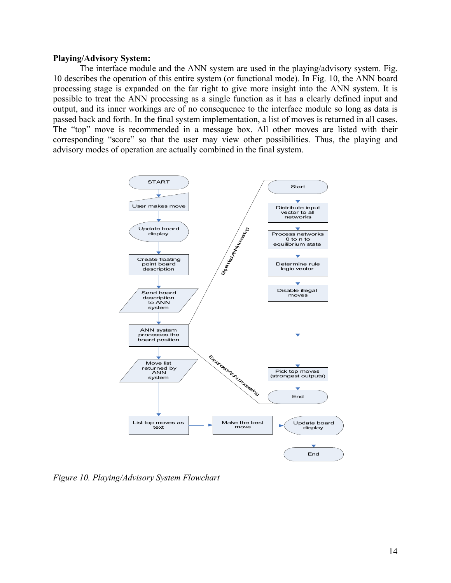### **Playing/Advisory System:**

The interface module and the ANN system are used in the playing/advisory system. Fig. 10 describes the operation of this entire system (or functional mode). In Fig. 10, the ANN board processing stage is expanded on the far right to give more insight into the ANN system. It is possible to treat the ANN processing as a single function as it has a clearly defined input and output, and its inner workings are of no consequence to the interface module so long as data is passed back and forth. In the final system implementation, a list of moves is returned in all cases. The "top" move is recommended in a message box. All other moves are listed with their corresponding "score" so that the user may view other possibilities. Thus, the playing and advisory modes of operation are actually combined in the final system.



*Figure 10. Playing/Advisory System Flowchart*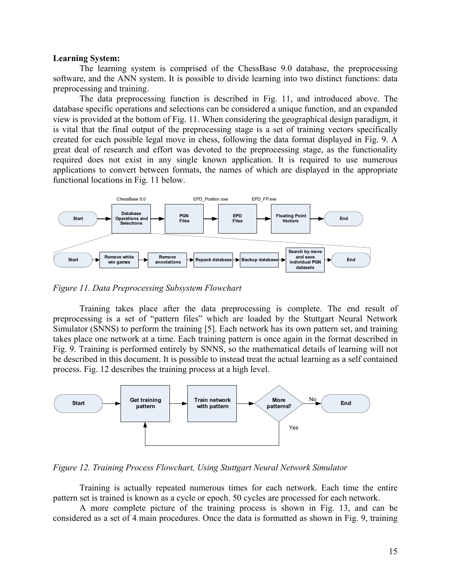#### **Learning System:**

The learning system is comprised of the ChessBase 9.0 database, the preprocessing software, and the ANN system. It is possible to divide learning into two distinct functions: data preprocessing and training.

The data preprocessing function is described in Fig. 11, and introduced above. The database specific operations and selections can be considered a unique function, and an expanded view is provided at the bottom of Fig. 11. When considering the geographical design paradigm, it is vital that the final output of the preprocessing stage is a set of training vectors specifically created for each possible legal move in chess, following the data format displayed in Fig. 9. A great deal of research and effort was devoted to the preprocessing stage, as the functionality required does not exist in any single known application. It is required to use numerous applications to convert between formats, the names of which are displayed in the appropriate functional locations in Fig. 11 below.



*Figure 11. Data Preprocessing Subsystem Flowchart*

Training takes place after the data preprocessing is complete. The end result of preprocessing is a set of "pattern files" which are loaded by the Stuttgart Neural Network Simulator (SNNS) to perform the training [5]. Each network has its own pattern set, and training takes place one network at a time. Each training pattern is once again in the format described in Fig. 9. Training is performed entirely by SNNS, so the mathematical details of learning will not be described in this document. It is possible to instead treat the actual learning as a self contained process. Fig. 12 describes the training process at a high level.



*Figure 12. Training Process Flowchart, Using Stuttgart Neural Network Simulator*

Training is actually repeated numerous times for each network. Each time the entire pattern set is trained is known as a cycle or epoch. 50 cycles are processed for each network.

A more complete picture of the training process is shown in Fig. 13, and can be considered as a set of 4 main procedures. Once the data is formatted as shown in Fig. 9, training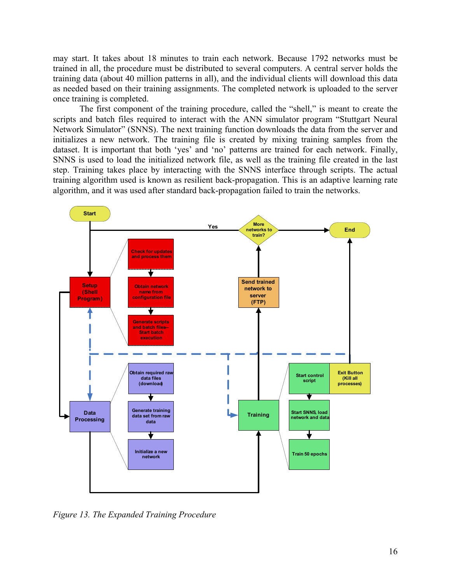may start. It takes about 18 minutes to train each network. Because 1792 networks must be trained in all, the procedure must be distributed to several computers. A central server holds the training data (about 40 million patterns in all), and the individual clients will download this data as needed based on their training assignments. The completed network is uploaded to the server once training is completed.

The first component of the training procedure, called the "shell," is meant to create the scripts and batch files required to interact with the ANN simulator program "Stuttgart Neural Network Simulator" (SNNS). The next training function downloads the data from the server and initializes a new network. The training file is created by mixing training samples from the dataset. It is important that both 'yes' and 'no' patterns are trained for each network. Finally, SNNS is used to load the initialized network file, as well as the training file created in the last step. Training takes place by interacting with the SNNS interface through scripts. The actual training algorithm used is known as resilient back-propagation. This is an adaptive learning rate algorithm, and it was used after standard back-propagation failed to train the networks.



*Figure 13. The Expanded Training Procedure*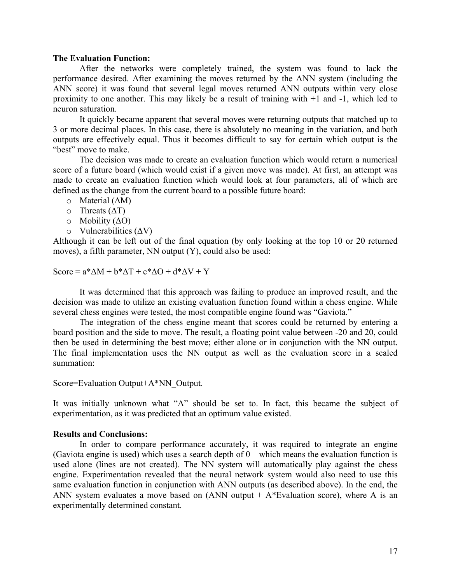### **The Evaluation Function:**

After the networks were completely trained, the system was found to lack the performance desired. After examining the moves returned by the ANN system (including the ANN score) it was found that several legal moves returned ANN outputs within very close proximity to one another. This may likely be a result of training with +1 and -1, which led to neuron saturation.

It quickly became apparent that several moves were returning outputs that matched up to 3 or more decimal places. In this case, there is absolutely no meaning in the variation, and both outputs are effectively equal. Thus it becomes difficult to say for certain which output is the "best" move to make.

The decision was made to create an evaluation function which would return a numerical score of a future board (which would exist if a given move was made). At first, an attempt was made to create an evaluation function which would look at four parameters, all of which are defined as the change from the current board to a possible future board:

o Material (∆M)

- o Threats (∆T)
- o Mobility (∆O)
- o Vulnerabilities (∆V)

Although it can be left out of the final equation (by only looking at the top 10 or 20 returned moves), a fifth parameter, NN output (Y), could also be used:

Score =  $a^* \Delta M + b^* \Delta T + c^* \Delta O + d^* \Delta V + Y$ 

It was determined that this approach was failing to produce an improved result, and the decision was made to utilize an existing evaluation function found within a chess engine. While several chess engines were tested, the most compatible engine found was "Gaviota."

The integration of the chess engine meant that scores could be returned by entering a board position and the side to move. The result, a floating point value between -20 and 20, could then be used in determining the best move; either alone or in conjunction with the NN output. The final implementation uses the NN output as well as the evaluation score in a scaled summation:

Score=Evaluation Output+A\*NN\_Output.

It was initially unknown what "A" should be set to. In fact, this became the subject of experimentation, as it was predicted that an optimum value existed.

## **Results and Conclusions:**

In order to compare performance accurately, it was required to integrate an engine (Gaviota engine is used) which uses a search depth of 0—which means the evaluation function is used alone (lines are not created). The NN system will automatically play against the chess engine. Experimentation revealed that the neural network system would also need to use this same evaluation function in conjunction with ANN outputs (as described above). In the end, the ANN system evaluates a move based on  $(ANN output + A*Evaluation score)$ , where A is an experimentally determined constant.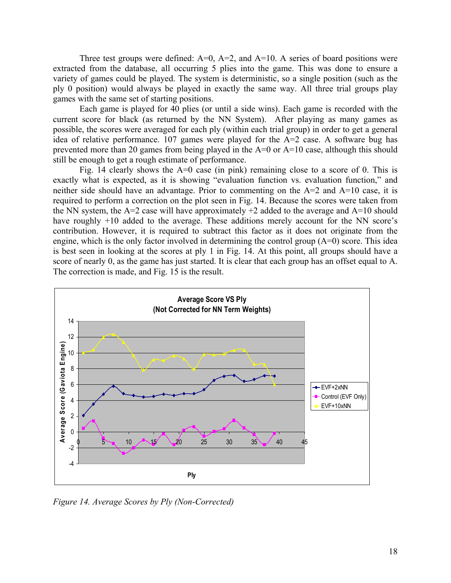Three test groups were defined:  $A=0$ ,  $A=2$ , and  $A=10$ . A series of board positions were extracted from the database, all occurring 5 plies into the game. This was done to ensure a variety of games could be played. The system is deterministic, so a single position (such as the ply 0 position) would always be played in exactly the same way. All three trial groups play games with the same set of starting positions.

Each game is played for 40 plies (or until a side wins). Each game is recorded with the current score for black (as returned by the NN System). After playing as many games as possible, the scores were averaged for each ply (within each trial group) in order to get a general idea of relative performance. 107 games were played for the A=2 case. A software bug has prevented more than 20 games from being played in the A=0 or A=10 case, although this should still be enough to get a rough estimate of performance.

Fig. 14 clearly shows the A=0 case (in pink) remaining close to a score of 0. This is exactly what is expected, as it is showing "evaluation function vs. evaluation function," and neither side should have an advantage. Prior to commenting on the A=2 and A=10 case, it is required to perform a correction on the plot seen in Fig. 14. Because the scores were taken from the NN system, the  $A=2$  case will have approximately  $+2$  added to the average and  $A=10$  should have roughly +10 added to the average. These additions merely account for the NN score's contribution. However, it is required to subtract this factor as it does not originate from the engine, which is the only factor involved in determining the control group (A=0) score. This idea is best seen in looking at the scores at ply 1 in Fig. 14. At this point, all groups should have a score of nearly 0, as the game has just started. It is clear that each group has an offset equal to A. The correction is made, and Fig. 15 is the result.



*Figure 14. Average Scores by Ply (Non-Corrected)*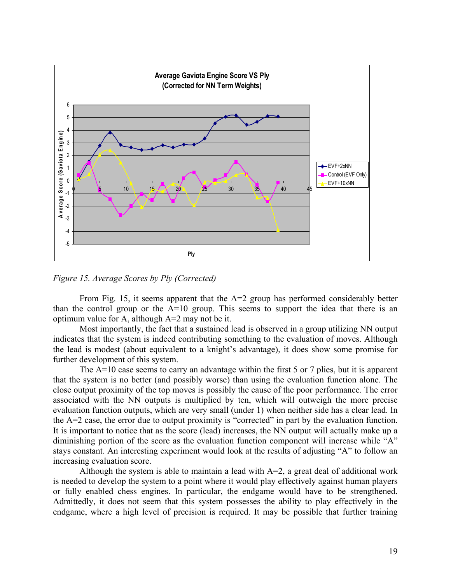

*Figure 15. Average Scores by Ply (Corrected)*

From Fig. 15, it seems apparent that the  $A=2$  group has performed considerably better than the control group or the A=10 group. This seems to support the idea that there is an optimum value for A, although A=2 may not be it.

Most importantly, the fact that a sustained lead is observed in a group utilizing NN output indicates that the system is indeed contributing something to the evaluation of moves. Although the lead is modest (about equivalent to a knight's advantage), it does show some promise for further development of this system.

The A=10 case seems to carry an advantage within the first 5 or 7 plies, but it is apparent that the system is no better (and possibly worse) than using the evaluation function alone. The close output proximity of the top moves is possibly the cause of the poor performance. The error associated with the NN outputs is multiplied by ten, which will outweigh the more precise evaluation function outputs, which are very small (under 1) when neither side has a clear lead. In the A=2 case, the error due to output proximity is "corrected" in part by the evaluation function. It is important to notice that as the score (lead) increases, the NN output will actually make up a diminishing portion of the score as the evaluation function component will increase while "A" stays constant. An interesting experiment would look at the results of adjusting "A" to follow an increasing evaluation score.

Although the system is able to maintain a lead with  $A=2$ , a great deal of additional work is needed to develop the system to a point where it would play effectively against human players or fully enabled chess engines. In particular, the endgame would have to be strengthened. Admittedly, it does not seem that this system possesses the ability to play effectively in the endgame, where a high level of precision is required. It may be possible that further training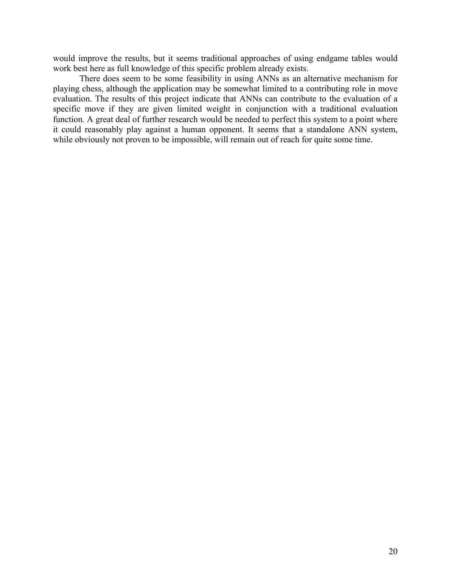would improve the results, but it seems traditional approaches of using endgame tables would work best here as full knowledge of this specific problem already exists.

There does seem to be some feasibility in using ANNs as an alternative mechanism for playing chess, although the application may be somewhat limited to a contributing role in move evaluation. The results of this project indicate that ANNs can contribute to the evaluation of a specific move if they are given limited weight in conjunction with a traditional evaluation function. A great deal of further research would be needed to perfect this system to a point where it could reasonably play against a human opponent. It seems that a standalone ANN system, while obviously not proven to be impossible, will remain out of reach for quite some time.